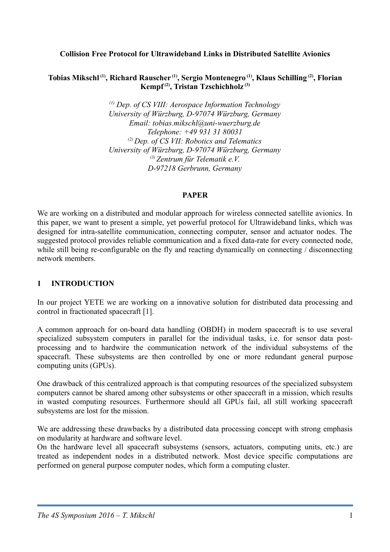#### **Collision Free Protocol for Ultrawideband Links in Distributed Satellite Avionics**

#### **Tobias Mikschl (1), Richard Rauscher (1), Sergio Montenegro (1), Klaus Schilling (2), Florian Kempf (2), Tristan Tzschichholz (3)**

*(1) Dep.
 of CS VIII: Aerospace Information Technology University of Würzburg, D-97074 Würzburg, Germany Email: tobias.
mikschl@uni-wuerzburg.
de Telephone: +49 931 31 80031 (2) Dep.
 of CS VII: Robotics and Telematics University of Würzburg, D-97074 Würzburg, Germany (3) Zentrum für Telematik e.
V. D-97218 Gerbrunn, Germany*

#### **PAPER**

We are working on a distributed and modular approach for wireless connected satellite avionics. In this paper, we want to present a simple, yet powerful protocol for Ultrawideband links, which was designed for intra-satellite communication, connecting computer, sensor and actuator nodes. The suggested protocol provides reliable communication and a fixed data-rate for every connected node, while still being re-configurable on the fly and reacting dynamically on connecting / disconnecting network members.

## **1 INTRODUCTION**

In our project YETE we are working on a innovative solution for distributed data processing and control in fractionated spacecraft [1].

A common approach for on-board data handling (OBDH) in modern spacecraft is to use several specialized subsystem computers in parallel for the individual tasks, i.e. for sensor data postprocessing and to hardwire the communication network of the individual subsystems of the spacecraft. These subsystems are then controlled by one or more redundant general purpose computing units (GPUs).

One drawback of this centralized approach is that computing resources of the specialized subsystem computers cannot be shared among other subsystems or other spacecraft in a mission,
 which results in wasted computing resources. Furthermore should all GPUs fail,
 all still working spacecraft subsystems are lost for the mission.

We are addressing these drawbacks by a distributed data processing concept with strong emphasis on modularity at hardware and software level.

On the hardware level all spacecraft subsystems (sensors,
 actuators,
 computing units,
 etc.) are treated as independent nodes in a distributed network. Most device specific computations are performed on general purpose computer nodes,
 which form a computing cluster.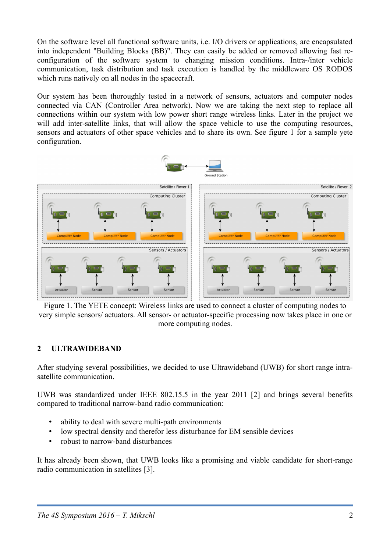On the software level all functional software units,
 i.e. I/O drivers or applications,
 are encapsulated into independent "Building Blocks (BB)". They can easily be added or removed allowing fast reconfiguration of the software system to changing mission conditions. Intra-/inter vehicle communication,
 task distribution and task execution is handled by the middleware OS RODOS which runs natively on all nodes in the spacecraft.

Our system has been thoroughly tested in a network of sensors,
 actuators and computer nodes connected via CAN (Controller Area network). Now we are taking the next step to replace all connections within our system with low power short range wireless links. Later in the project we will add inter-satellite links, that will allow the space vehicle to use the computing resources, sensors and actuators of other space vehicles and to share its own. See figure 1 for a sample yete configuration.



Figure 1. The YETE concept: Wireless links are used to connect a cluster of computing nodes to very simple sensors/ actuators. All sensor- or actuator-specific processing now takes place in one or more computing nodes.

## **2 ULTRAWIDEBAND**

After studying several possibilities,
 we decided to use Ultrawideband (UWB) for short range intrasatellite communication.

UWB was standardized under IEEE 802.15.5 in the year 2011 [2] and brings several benefits compared to traditional narrow-band radio communication:

- ability to deal with severe multi-path environments
- low spectral density and therefor less disturbance for EM sensible devices
- robust to narrow-band disturbances

It has already been shown,
 that UWB looks like a promising and viable candidate for short-range radio communication in satellites [3].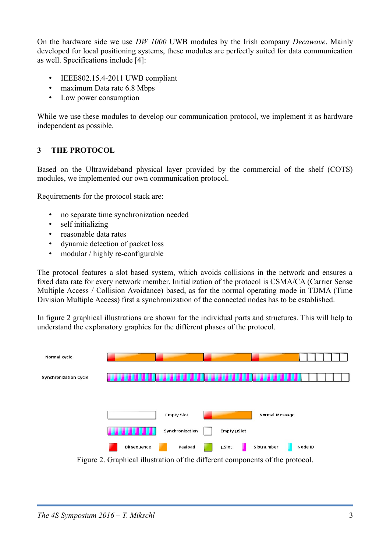On the hardware side we use *DW 1000* UWB modules by the Irish company *Decawave*. Mainly developed for local positioning systems,
 these modules are perfectly suited for data communication as well. Specifications include [4]:

- IEEE802.15.4-2011 UWB compliant
- maximum Data rate 6.8 Mbps
- Low power consumption

While we use these modules to develop our communication protocol, we implement it as hardware independent as possible.

## **3 THE PROTOCOL**

Based on the Ultrawideband physical layer provided by the commercial of the shelf (COTS) modules,
 we implemented our own communication protocol.

Requirements for the protocol stack are:

- no separate time synchronization needed
- self initializing
- reasonable data rates
- dynamic detection of packet loss
- modular / highly re-configurable

The protocol features a slot based system,
 which avoids collisions in the network and ensures a fixed data rate for every network member. Initialization of the protocol is CSMA/CA (Carrier Sense Multiple Access / Collision Avoidance) based,
 as for the normal operating mode in TDMA (Time Division Multiple Access) first a synchronization of the connected nodes has to be established.

In figure 2 graphical illustrations are shown for the individual parts and structures. This will help to understand the explanatory graphics for the different phases of the protocol.



Figure 2. Graphical illustration of the different components of the protocol.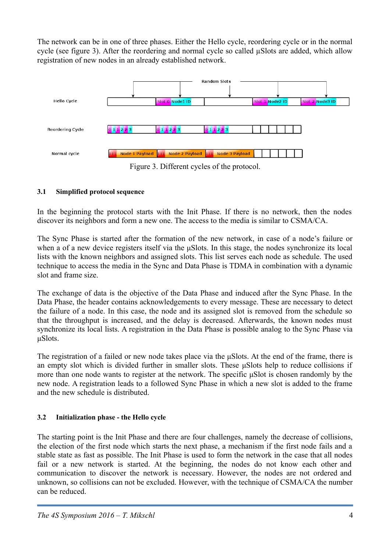The network can be in one of three phases. Either the Hello cycle,
 reordering cycle or in the normal cycle (see figure 3). After the reordering and normal cycle so called µSlots are added,
 which allow registration of new nodes in an already established network.



Figure 3. Different cycles of the protocol.

# **3.1 Simplified protocol sequence**

In the beginning the protocol starts with the Init Phase. If there is no network,
 then the nodes discover its neighbors and form a new one. The access to the media is similar to CSMA/CA.

The Sync Phase is started after the formation of the new network,
 in case of a node's failure or when a of a new device registers itself via the μSlots. In this stage,
 the nodes synchronize its local lists with the known neighbors and assigned slots. This list serves each node as schedule. The used technique to access the media in the Sync and Data Phase is TDMA in combination with a dynamic slot and frame size.

The exchange of data is the objective of the Data Phase and induced after the Sync Phase. In the Data Phase,
 the header contains acknowledgements to every message. These are necessary to detect the failure of a node. In this case,
 the node and its assigned slot is removed from the schedule so that the throughput is increased,
 and the delay is decreased. Afterwards,
 the known nodes must synchronize its local lists. A registration in the Data Phase is possible analog to the Sync Phase via μSlots.

The registration of a failed or new node takes place via the μSlots. At the end of the frame,
 there is an empty slot which is divided further in smaller slots. These μSlots help to reduce collisions if more than one node wants to register at the network. The specific μSlot is chosen randomly by the new node. A registration leads to a followed Sync Phase in which a new slot is added to the frame and the new schedule is distributed.

# **3.2 Initialization phase - the Hello cycle**

The starting point is the Init Phase and there are four challenges,
 namely the decrease of collisions, the election of the first node which starts the next phase,
 a mechanism if the first node fails and a stable state as fast as possible. The Init Phase is used to form the network in the case that all nodes fail or a new network is started. At the beginning, the nodes do not know each other and communication to discover the network is necessary. However,
 the nodes are not ordered and unknown,
 so collisions can not be excluded. However,
 with the technique of CSMA/CA the number can be reduced.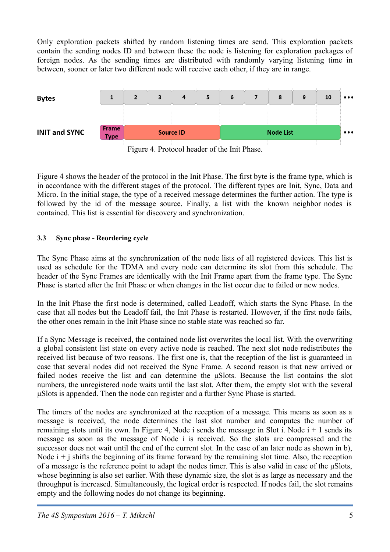Only exploration packets shifted by random listening times are send. This exploration packets contain the sending nodes ID and between these the node is listening for exploration packages of foreign nodes. As the sending times are distributed with randomly varying listening time in between,
 sooner or later two different node will receive each other,
 if they are in range.





Figure 4 shows the header of the protocol in the Init Phase. The first byte is the frame type,
 which is in accordance with the different stages of the protocol. The different types are Init,
 Sync,
 Data and Micro. In the initial stage,
 the type of a received message determines the further action. The type is followed by the id of the message source. Finally, a list with the known neighbor nodes is contained. This list is essential for discovery and synchronization.

# **3.3 Sync phase - Reordering cycle**

The Sync Phase aims at the synchronization of the node lists of all registered devices. This list is used as schedule for the TDMA and every node can determine its slot from this schedule. The header of the Sync Frames are identically with the Init Frame apart from the frame type. The Sync Phase is started after the Init Phase or when changes in the list occur due to failed or new nodes.

In the Init Phase the first node is determined,
 called Leadoff,
 which starts the Sync Phase. In the case that all nodes but the Leadoff fail,
 the Init Phase is restarted. However,
 if the first node fails, the other ones remain in the Init Phase since no stable state was reached so far.

If a Sync Message is received,
 the contained node list overwrites the local list. With the overwriting a global consistent list state on every active node is reached. The next slot node redistributes the received list because of two reasons. The first one is,
 that the reception of the list is guaranteed in case that several nodes did not received the Sync Frame. A second reason is that new arrived or failed nodes receive the list and can determine the μSlots. Because the list contains the slot numbers,
 the unregistered node waits until the last slot. After them,
 the empty slot with the several μSlots is appended. Then the node can register and a further Sync Phase is started.

The timers of the nodes are synchronized at the reception of a message. This means as soon as a message is received,
 the node determines the last slot number and computes the number of remaining slots until its own. In Figure 4, Node i sends the message in Slot i. Node  $i + 1$  sends its message as soon as the message of Node i is received. So the slots are compressed and the successor does not wait until the end of the current slot. In the case of an later node as shown in b), Node  $i + j$  shifts the beginning of its frame forward by the remaining slot time. Also, the reception of a message is the reference point to adapt the nodes timer. This is also valid in case of the μSlots, whose beginning is also set earlier. With these dynamic size, the slot is as large as necessary and the throughput is increased. Simultaneously,
 the logical order is respected. If nodes fail,
 the slot remains empty and the following nodes do not change its beginning.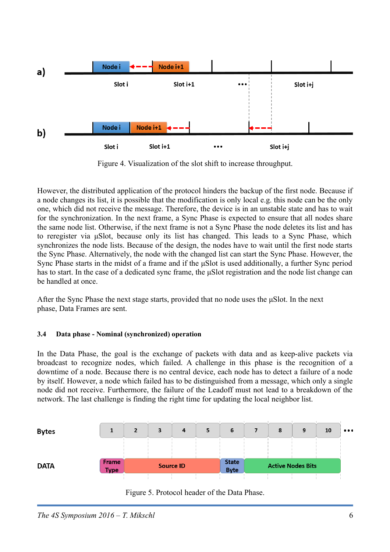

Figure 4. Visualization of the slot shift to increase throughput.

However,
 the distributed application of the protocol hinders the backup of the first node. Because if a node changes its list,
 it is possible that the modification is only local e.g. this node can be the only one,
 which did not receive the message. Therefore,
 the device is in an unstable state and has to wait for the synchronization. In the next frame,
 a Sync Phase is expected to ensure that all nodes share the same node list. Otherwise,
 if the next frame is not a Sync Phase the node deletes its list and has to reregister via μSlot,
 because only its list has changed. This leads to a Sync Phase,
 which synchronizes the node lists. Because of the design, the nodes have to wait until the first node starts the Sync Phase. Alternatively,
 the node with the changed list can start the Sync Phase. However,
 the Sync Phase starts in the midst of a frame and if the μSlot is used additionally,
 a further Sync period has to start. In the case of a dedicated sync frame, the μSlot registration and the node list change can be handled at once.

After the Sync Phase the next stage starts, provided that no node uses the uSlot. In the next phase,
 Data Frames are sent.

## **3.4 Data phase - Nominal (synchronized) operation**

In the Data Phase,
 the goal is the exchange of packets with data and as keep-alive packets via broadcast to recognize nodes,
 which failed. A challenge in this phase is the recognition of a downtime of a node. Because there is no central device,
 each node has to detect a failure of a node by itself. However,
 a node which failed has to be distinguished from a message,
 which only a single node did not receive. Furthermore,
 the failure of the Leadoff must not lead to a breakdown of the network. The last challenge is finding the right time for updating the local neighbor list.

| <b>Bytes</b> |             |                  | 3 | 4 | 5 | 6            |                          | 8 | 9 | 10 | $\bullet\bullet\bullet$ |
|--------------|-------------|------------------|---|---|---|--------------|--------------------------|---|---|----|-------------------------|
|              | Frame       |                  |   |   |   | <b>State</b> |                          |   |   |    |                         |
| <b>DATA</b>  | <b>Type</b> | <b>Source ID</b> |   |   |   | <b>Byte</b>  | <b>Active Nodes Bits</b> |   |   |    |                         |

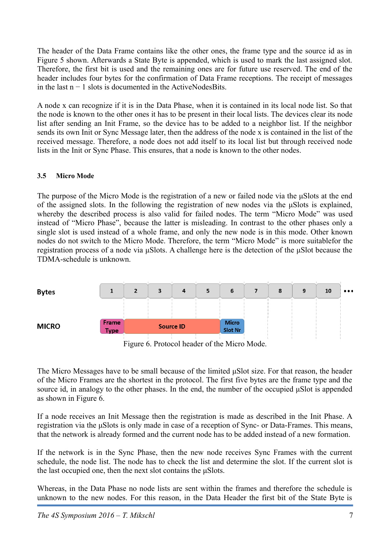The header of the Data Frame contains like the other ones,
 the frame type and the source id as in Figure 5 shown. Afterwards a State Byte is appended,
 which is used to mark the last assigned slot. Therefore,
 the first bit is used and the remaining ones are for future use reserved. The end of the header includes four bytes for the confirmation of Data Frame receptions. The receipt of messages in the last  $n - 1$  slots is documented in the ActiveNodesBits.

A node x can recognize if it is in the Data Phase,
 when it is contained in its local node list. So that the node is known to the other ones it has to be present in their local lists. The devices clear its node list after sending an Init Frame, so the device has to be added to a neighbor list. If the neighbor sends its own Init or Sync Message later,
 then the address of the node x is contained in the list of the received message. Therefore,
 a node does not add itself to its local list but through received node lists in the Init or Sync Phase. This ensures,
 that a node is known to the other nodes.

#### **3.5 Micro Mode**

The purpose of the Micro Mode is the registration of a new or failed node via the μSlots at the end of the assigned slots. In the following the registration of new nodes via the μSlots is explained, whereby the described process is also valid for failed nodes. The term "Micro Mode" was used instead of "Micro Phase",
 because the latter is misleading. In contrast to the other phases only a single slot is used instead of a whole frame,
 and only the new node is in this mode. Other known nodes do not switch to the Micro Mode. Therefore,
 the term "Micro Mode" is more suitablefor the registration process of a node via μSlots. A challenge here is the detection of the μSlot because the TDMA-schedule is unknown.



Figure 6. Protocol header of the Micro Mode.

The Micro Messages have to be small because of the limited μSlot size. For that reason,
 the header of the Micro Frames are the shortest in the protocol. The first five bytes are the frame type and the source id, in analogy to the other phases. In the end, the number of the occupied μSlot is appended as shown in Figure 6.

If a node receives an Init Message then the registration is made as described in the Init Phase. A registration via the μSlots is only made in case of a reception of Sync- or Data-Frames. This means, that the network is already formed and the current node has to be added instead of a new formation.

If the network is in the Sync Phase,
 then the new node receives Sync Frames with the current schedule,
 the node list. The node has to check the list and determine the slot. If the current slot is the last occupied one,
 then the next slot contains the μSlots.

Whereas,
 in the Data Phase no node lists are sent within the frames and therefore the schedule is unknown to the new nodes. For this reason,
 in the Data Header the first bit of the State Byte is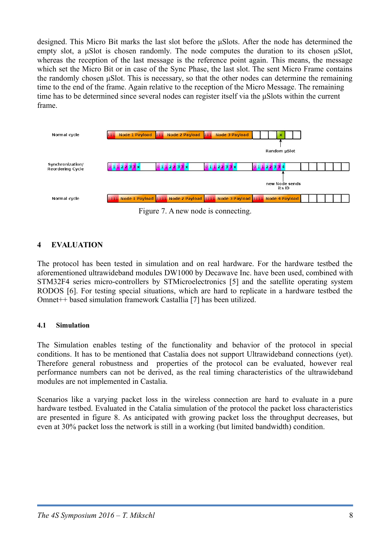designed. This Micro Bit marks the last slot before the μSlots. After the node has determined the empty slot,
 a μSlot is chosen randomly. The node computes the duration to its chosen μSlot, whereas the reception of the last message is the reference point again. This means, the message which set the Micro Bit or in case of the Sync Phase,
 the last slot. The sent Micro Frame contains the randomly chosen μSlot. This is necessary,
 so that the other nodes can determine the remaining time to the end of the frame. Again relative to the reception of the Micro Message. The remaining time has to be determined since several nodes can register itself via the μSlots within the current frame.



Figure 7. A new node is connecting.

# **4 EVALUATION**

The protocol has been tested in simulation and on real hardware. For the hardware testbed the aforementioned ultrawideband modules DW1000 by Decawave Inc. have been used,
 combined with STM32F4 series micro-controllers by STMicroelectronics [5] and the satellite operating system RODOS [6]. For testing special situations,
 which are hard to replicate in a hardware testbed the Omnet++ based simulation framework Castallia [7] has been utilized.

## **4.1 Simulation**

The Simulation enables testing of the functionality and behavior of the protocol in special conditions. It has to be mentioned that Castalia does not support Ultrawideband connections (yet). Therefore general robustness and properties of the protocol can be evaluated,
 however real performance numbers can not be derived,
 as the real timing characteristics of the ultrawideband modules are not implemented in Castalia.

Scenarios like a varying packet loss in the wireless connection are hard to evaluate in a pure hardware testbed. Evaluated in the Catalia simulation of the protocol the packet loss characteristics are presented in figure 8. As anticipated with growing packet loss the throughput decreases,
 but even at 30% packet loss the network is still in a working (but limited bandwidth) condition.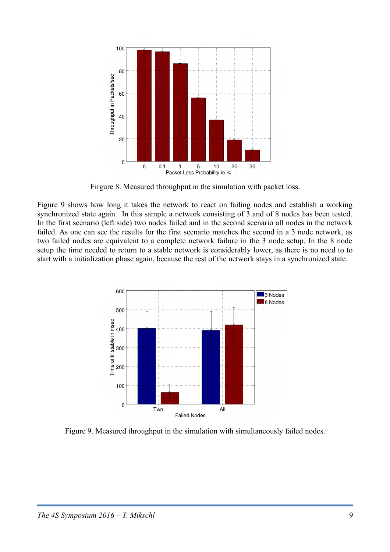

Firgure 8. Measured throughput in the simulation with packet loss.

Figure 9 shows how long it takes the network to react on failing nodes and establish a working synchronized state again. In this sample a network consisting of 3 and of 8 nodes has been tested. In the first scenario (left side) two nodes failed and in the second scenario all nodes in the network failed. As one can see the results for the first scenario matches the second in a 3 node network,
 as two failed nodes are equivalent to a complete network failure in the 3 node setup. In the 8 node setup the time needed to return to a stable network is considerably lower,
 as there is no need to to start with a initialization phase again,
 because the rest of the network stays in a synchronized state.



Figure 9. Measured throughput in the simulation with simultaneously failed nodes.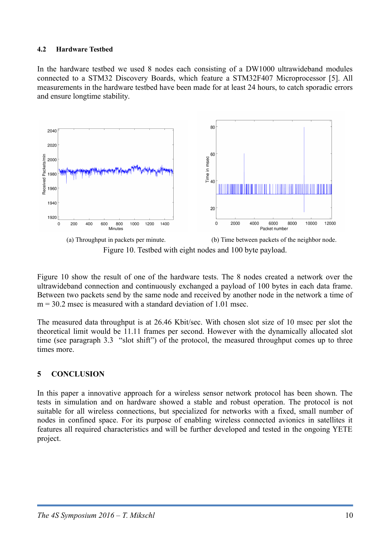#### **4.2 Hardware Testbed**

In the hardware testbed we used 8 nodes each consisting of a DW1000 ultrawideband modules connected to a STM32 Discovery Boards,
 which feature a STM32F407 Microprocessor [5]. All measurements in the hardware testbed have been made for at least 24 hours,
 to catch sporadic errors and ensure longtime stability.



Figure 10. Testbed with eight nodes and 100 byte payload.

Figure 10 show the result of one of the hardware tests. The 8 nodes created a network over the ultrawideband connection and continuously exchanged a payload of 100 bytes in each data frame. Between two packets send by the same node and received by another node in the network a time of  $m = 30.2$  msec is measured with a standard deviation of 1.01 msec.

The measured data throughput is at 26.46 Kbit/sec. With chosen slot size of 10 msec per slot the theoretical limit would be 11.11 frames per second. However with the dynamically allocated slot time (see paragraph 3.3 "slot shift") of the protocol, the measured throughput comes up to three times more.

## **5 CONCLUSION**

In this paper a innovative approach for a wireless sensor network protocol has been shown. The tests in simulation and on hardware showed a stable and robust operation. The protocol is not suitable for all wireless connections, but specialized for networks with a fixed, small number of nodes in confined space. For its purpose of enabling wireless connected avionics in satellites it features all required characteristics and will be further developed and tested in the ongoing YETE project.